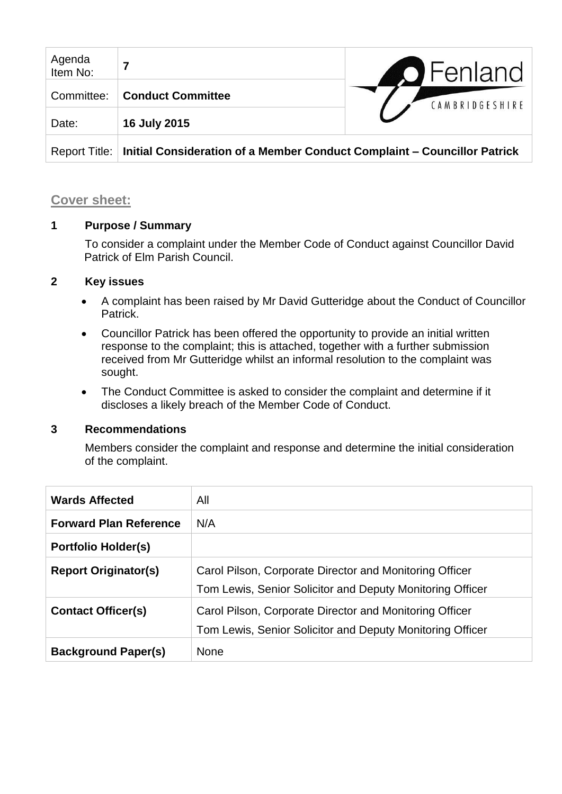| Agenda<br>Item No: |                                                                          | <b>O</b> Fenland |
|--------------------|--------------------------------------------------------------------------|------------------|
| Committee:         | <b>Conduct Committee</b>                                                 | CAMBRIDGESHIRE   |
| Date:              | 16 July 2015                                                             |                  |
| Report Title:      | Initial Consideration of a Member Conduct Complaint – Councillor Patrick |                  |

## **Cover sheet:**

## **1 Purpose / Summary**

To consider a complaint under the Member Code of Conduct against Councillor David Patrick of Elm Parish Council.

## **2 Key issues**

- A complaint has been raised by Mr David Gutteridge about the Conduct of Councillor Patrick.
- Councillor Patrick has been offered the opportunity to provide an initial written response to the complaint; this is attached, together with a further submission received from Mr Gutteridge whilst an informal resolution to the complaint was sought.
- The Conduct Committee is asked to consider the complaint and determine if it discloses a likely breach of the Member Code of Conduct.

#### **3 Recommendations**

Members consider the complaint and response and determine the initial consideration of the complaint.

| <b>Wards Affected</b>         | All                                                                                                                  |
|-------------------------------|----------------------------------------------------------------------------------------------------------------------|
| <b>Forward Plan Reference</b> | N/A                                                                                                                  |
| <b>Portfolio Holder(s)</b>    |                                                                                                                      |
| <b>Report Originator(s)</b>   | Carol Pilson, Corporate Director and Monitoring Officer<br>Tom Lewis, Senior Solicitor and Deputy Monitoring Officer |
| <b>Contact Officer(s)</b>     | Carol Pilson, Corporate Director and Monitoring Officer<br>Tom Lewis, Senior Solicitor and Deputy Monitoring Officer |
| <b>Background Paper(s)</b>    | <b>None</b>                                                                                                          |